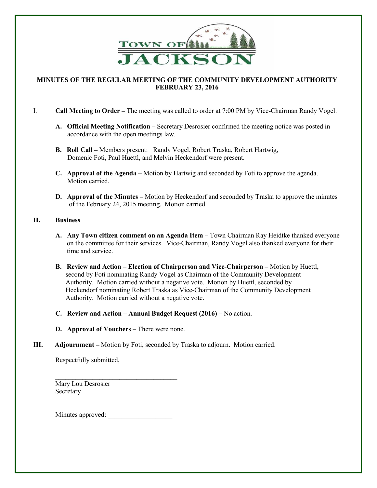

## **MINUTES OF THE REGULAR MEETING OF THE COMMUNITY DEVELOPMENT AUTHORITY FEBRUARY 23, 2016**

I. **Call Meeting to Order –** The meeting was called to order at 7:00 PM by Vice-Chairman Randy Vogel.

- **A. Official Meeting Notification –** Secretary Desrosier confirmed the meeting notice was posted in accordance with the open meetings law.
- **B.** Roll Call Members present: Randy Vogel, Robert Traska, Robert Hartwig, Domenic Foti, Paul Huettl, and Melvin Heckendorf were present.
- **C. Approval of the Agenda –** Motion by Hartwig and seconded by Foti to approve the agenda. Motion carried.
- **D.** Approval of the Minutes Motion by Heckendorf and seconded by Traska to approve the minutes of the February 24, 2015 meeting. Motion carried

## **II. Business**

- **A. Any Town citizen comment on an Agenda Item**  Town Chairman Ray Heidtke thanked everyone on the committee for their services. Vice-Chairman, Randy Vogel also thanked everyone for their time and service.
- **B. Review and Action – Election of Chairperson and Vice-Chairperson –** Motion by Huettl, second by Foti nominating Randy Vogel as Chairman of the Community Development Authority. Motion carried without a negative vote. Motion by Huettl, seconded by Heckendorf nominating Robert Traska as Vice-Chairman of the Community Development Authority. Motion carried without a negative vote.
- **C.** Review and Action Annual Budget Request (2016) No action.
- **D.** Approval of Vouchers There were none.
- **III.** Adjournment Motion by Foti, seconded by Traska to adjourn. Motion carried.

Respectfully submitted,

 $\overline{\phantom{a}}$  ,  $\overline{\phantom{a}}$  ,  $\overline{\phantom{a}}$  ,  $\overline{\phantom{a}}$  ,  $\overline{\phantom{a}}$  ,  $\overline{\phantom{a}}$  ,  $\overline{\phantom{a}}$  ,  $\overline{\phantom{a}}$  ,  $\overline{\phantom{a}}$  ,  $\overline{\phantom{a}}$  ,  $\overline{\phantom{a}}$  ,  $\overline{\phantom{a}}$  ,  $\overline{\phantom{a}}$  ,  $\overline{\phantom{a}}$  ,  $\overline{\phantom{a}}$  ,  $\overline{\phantom{a}}$  Mary Lou Desrosier Secretary

Minutes approved: